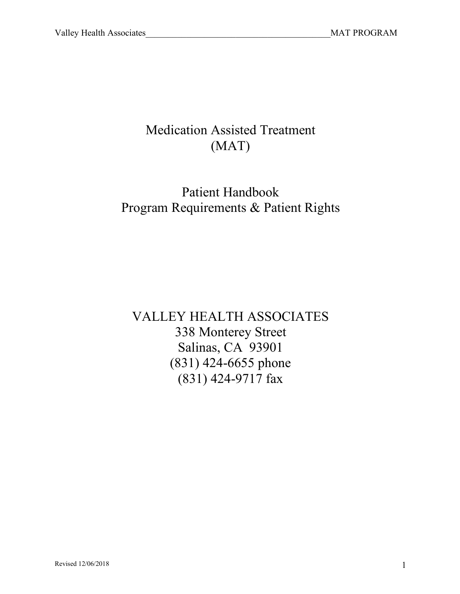# Medication Assisted Treatment (MAT)

# Patient Handbook Program Requirements & Patient Rights

VALLEY HEALTH ASSOCIATES 338 Monterey Street Salinas, CA 93901 (831) 424-6655 phone (831) 424-9717 fax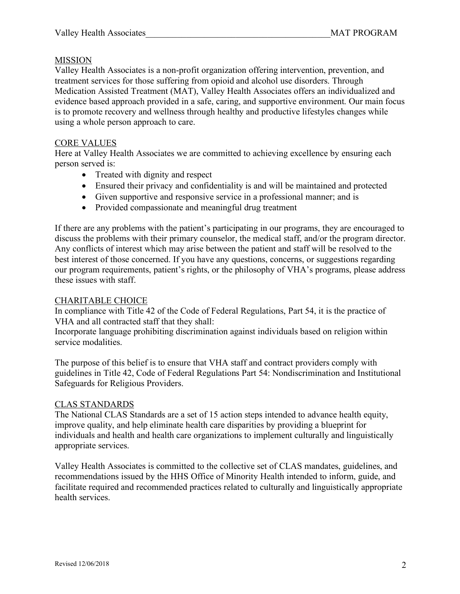# MISSION

Valley Health Associates is a non-profit organization offering intervention, prevention, and treatment services for those suffering from opioid and alcohol use disorders. Through Medication Assisted Treatment (MAT), Valley Health Associates offers an individualized and evidence based approach provided in a safe, caring, and supportive environment. Our main focus is to promote recovery and wellness through healthy and productive lifestyles changes while using a whole person approach to care.

# CORE VALUES

Here at Valley Health Associates we are committed to achieving excellence by ensuring each person served is:

- Treated with dignity and respect
- Ensured their privacy and confidentiality is and will be maintained and protected
- Given supportive and responsive service in a professional manner; and is
- Provided compassionate and meaningful drug treatment

If there are any problems with the patient's participating in our programs, they are encouraged to discuss the problems with their primary counselor, the medical staff, and/or the program director. Any conflicts of interest which may arise between the patient and staff will be resolved to the best interest of those concerned. If you have any questions, concerns, or suggestions regarding our program requirements, patient's rights, or the philosophy of VHA's programs, please address these issues with staff.

# CHARITABLE CHOICE

In compliance with Title 42 of the Code of Federal Regulations, Part 54, it is the practice of VHA and all contracted staff that they shall:

Incorporate language prohibiting discrimination against individuals based on religion within service modalities.

The purpose of this belief is to ensure that VHA staff and contract providers comply with guidelines in Title 42, Code of Federal Regulations Part 54: Nondiscrimination and Institutional Safeguards for Religious Providers.

# CLAS STANDARDS

The National CLAS Standards are a set of 15 action steps intended to advance health equity, improve quality, and help eliminate health care disparities by providing a blueprint for individuals and health and health care organizations to implement culturally and linguistically appropriate services.

Valley Health Associates is committed to the collective set of CLAS mandates, guidelines, and recommendations issued by the HHS Office of Minority Health intended to inform, guide, and facilitate required and recommended practices related to culturally and linguistically appropriate health services.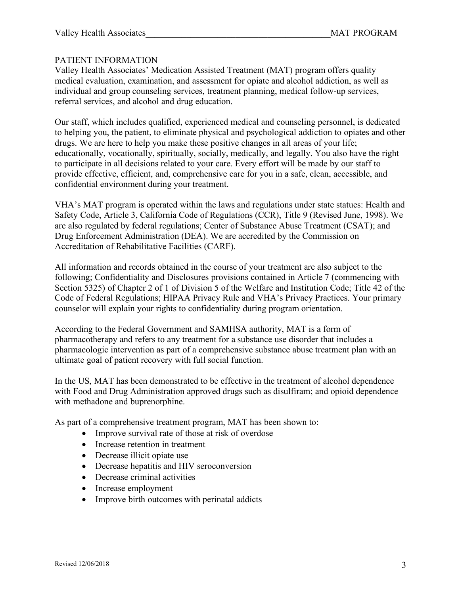## PATIENT INFORMATION

Valley Health Associates' Medication Assisted Treatment (MAT) program offers quality medical evaluation, examination, and assessment for opiate and alcohol addiction, as well as individual and group counseling services, treatment planning, medical follow-up services, referral services, and alcohol and drug education.

Our staff, which includes qualified, experienced medical and counseling personnel, is dedicated to helping you, the patient, to eliminate physical and psychological addiction to opiates and other drugs. We are here to help you make these positive changes in all areas of your life; educationally, vocationally, spiritually, socially, medically, and legally. You also have the right to participate in all decisions related to your care. Every effort will be made by our staff to provide effective, efficient, and, comprehensive care for you in a safe, clean, accessible, and confidential environment during your treatment.

VHA's MAT program is operated within the laws and regulations under state statues: Health and Safety Code, Article 3, California Code of Regulations (CCR), Title 9 (Revised June, 1998). We are also regulated by federal regulations; Center of Substance Abuse Treatment (CSAT); and Drug Enforcement Administration (DEA). We are accredited by the Commission on Accreditation of Rehabilitative Facilities (CARF).

All information and records obtained in the course of your treatment are also subject to the following; Confidentiality and Disclosures provisions contained in Article 7 (commencing with Section 5325) of Chapter 2 of 1 of Division 5 of the Welfare and Institution Code; Title 42 of the Code of Federal Regulations; HIPAA Privacy Rule and VHA's Privacy Practices. Your primary counselor will explain your rights to confidentiality during program orientation.

According to the Federal Government and SAMHSA authority, MAT is a form of pharmacotherapy and refers to any treatment for a substance use disorder that includes a pharmacologic intervention as part of a comprehensive substance abuse treatment plan with an ultimate goal of patient recovery with full social function.

In the US, MAT has been demonstrated to be effective in the treatment of alcohol dependence with Food and Drug Administration approved drugs such as disulfiram; and opioid dependence with methadone and buprenorphine.

As part of a comprehensive treatment program, MAT has been shown to:

- Improve survival rate of those at risk of overdose
- Increase retention in treatment
- Decrease illicit opiate use
- Decrease hepatitis and HIV seroconversion
- Decrease criminal activities
- Increase employment
- Improve birth outcomes with perinatal addicts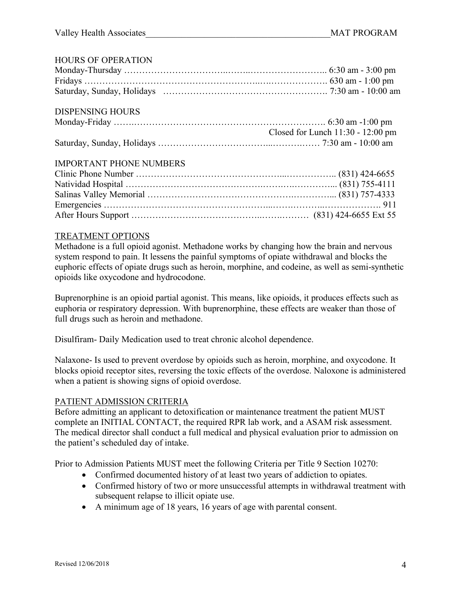| <b>HOURS OF OPERATION</b>      |                                     |
|--------------------------------|-------------------------------------|
|                                |                                     |
|                                |                                     |
|                                |                                     |
| <b>DISPENSING HOURS</b>        |                                     |
|                                |                                     |
|                                | Closed for Lunch $11:30 - 12:00$ pm |
|                                |                                     |
| <b>IMPORTANT PHONE NUMBERS</b> |                                     |
|                                |                                     |
|                                |                                     |
|                                |                                     |
|                                |                                     |
|                                |                                     |
|                                |                                     |

#### TREATMENT OPTIONS

Methadone is a full opioid agonist. Methadone works by changing how the brain and nervous system respond to pain. It lessens the painful symptoms of opiate withdrawal and blocks the euphoric effects of opiate drugs such as heroin, morphine, and codeine, as well as semi-synthetic opioids like oxycodone and hydrocodone.

Buprenorphine is an opioid partial agonist. This means, like opioids, it produces effects such as euphoria or respiratory depression. With buprenorphine, these effects are weaker than those of full drugs such as heroin and methadone.

Disulfiram- Daily Medication used to treat chronic alcohol dependence.

Nalaxone- Is used to prevent overdose by opioids such as heroin, morphine, and oxycodone. It blocks opioid receptor sites, reversing the toxic effects of the overdose. Naloxone is administered when a patient is showing signs of opioid overdose.

#### PATIENT ADMISSION CRITERIA

Before admitting an applicant to detoxification or maintenance treatment the patient MUST complete an INITIAL CONTACT, the required RPR lab work, and a ASAM risk assessment. The medical director shall conduct a full medical and physical evaluation prior to admission on the patient's scheduled day of intake.

Prior to Admission Patients MUST meet the following Criteria per Title 9 Section 10270:

- Confirmed documented history of at least two years of addiction to opiates.
- Confirmed history of two or more unsuccessful attempts in withdrawal treatment with subsequent relapse to illicit opiate use.
- A minimum age of 18 years, 16 years of age with parental consent.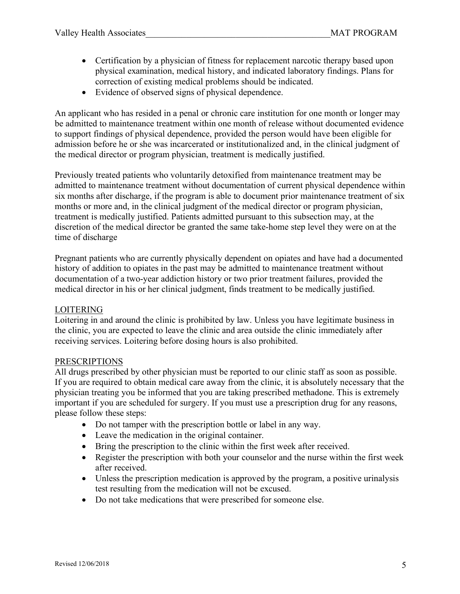- Certification by a physician of fitness for replacement narcotic therapy based upon physical examination, medical history, and indicated laboratory findings. Plans for correction of existing medical problems should be indicated.
- Evidence of observed signs of physical dependence.

An applicant who has resided in a penal or chronic care institution for one month or longer may be admitted to maintenance treatment within one month of release without documented evidence to support findings of physical dependence, provided the person would have been eligible for admission before he or she was incarcerated or institutionalized and, in the clinical judgment of the medical director or program physician, treatment is medically justified.

Previously treated patients who voluntarily detoxified from maintenance treatment may be admitted to maintenance treatment without documentation of current physical dependence within six months after discharge, if the program is able to document prior maintenance treatment of six months or more and, in the clinical judgment of the medical director or program physician, treatment is medically justified. Patients admitted pursuant to this subsection may, at the discretion of the medical director be granted the same take-home step level they were on at the time of discharge

Pregnant patients who are currently physically dependent on opiates and have had a documented history of addition to opiates in the past may be admitted to maintenance treatment without documentation of a two-year addiction history or two prior treatment failures, provided the medical director in his or her clinical judgment, finds treatment to be medically justified.

# LOITERING

Loitering in and around the clinic is prohibited by law. Unless you have legitimate business in the clinic, you are expected to leave the clinic and area outside the clinic immediately after receiving services. Loitering before dosing hours is also prohibited.

#### PRESCRIPTIONS

All drugs prescribed by other physician must be reported to our clinic staff as soon as possible. If you are required to obtain medical care away from the clinic, it is absolutely necessary that the physician treating you be informed that you are taking prescribed methadone. This is extremely important if you are scheduled for surgery. If you must use a prescription drug for any reasons, please follow these steps:

- Do not tamper with the prescription bottle or label in any way.
- Leave the medication in the original container.
- Bring the prescription to the clinic within the first week after received.
- Register the prescription with both your counselor and the nurse within the first week after received.
- Unless the prescription medication is approved by the program, a positive urinalysis test resulting from the medication will not be excused.
- Do not take medications that were prescribed for someone else.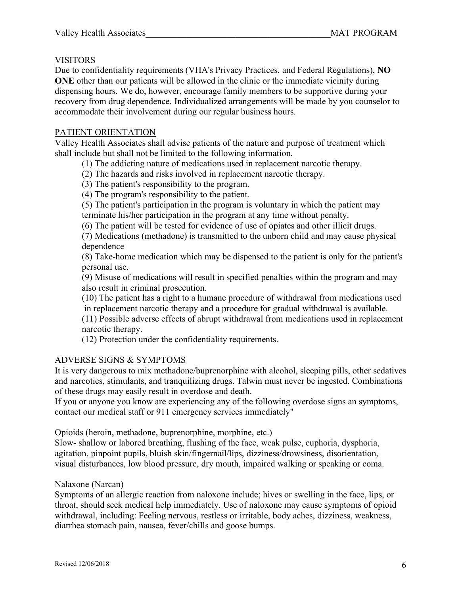## VISITORS

Due to confidentiality requirements (VHA's Privacy Practices, and Federal Regulations), **NO ONE** other than our patients will be allowed in the clinic or the immediate vicinity during dispensing hours. We do, however, encourage family members to be supportive during your recovery from drug dependence. Individualized arrangements will be made by you counselor to accommodate their involvement during our regular business hours.

# PATIENT ORIENTATION

Valley Health Associates shall advise patients of the nature and purpose of treatment which shall include but shall not be limited to the following information.

(1) The addicting nature of medications used in replacement narcotic therapy.

(2) The hazards and risks involved in replacement narcotic therapy.

(3) The patient's responsibility to the program.

(4) The program's responsibility to the patient.

(5) The patient's participation in the program is voluntary in which the patient may terminate his/her participation in the program at any time without penalty.

(6) The patient will be tested for evidence of use of opiates and other illicit drugs.

(7) Medications (methadone) is transmitted to the unborn child and may cause physical dependence

(8) Take-home medication which may be dispensed to the patient is only for the patient's personal use.

(9) Misuse of medications will result in specified penalties within the program and may also result in criminal prosecution.

(10) The patient has a right to a humane procedure of withdrawal from medications used in replacement narcotic therapy and a procedure for gradual withdrawal is available.

(11) Possible adverse effects of abrupt withdrawal from medications used in replacement narcotic therapy.

(12) Protection under the confidentiality requirements.

# ADVERSE SIGNS & SYMPTOMS

It is very dangerous to mix methadone/buprenorphine with alcohol, sleeping pills, other sedatives and narcotics, stimulants, and tranquilizing drugs. Talwin must never be ingested. Combinations of these drugs may easily result in overdose and death.

If you or anyone you know are experiencing any of the following overdose signs an symptoms, contact our medical staff or 911 emergency services immediately"

Opioids (heroin, methadone, buprenorphine, morphine, etc.)

Slow- shallow or labored breathing, flushing of the face, weak pulse, euphoria, dysphoria, agitation, pinpoint pupils, bluish skin/fingernail/lips, dizziness/drowsiness, disorientation, visual disturbances, low blood pressure, dry mouth, impaired walking or speaking or coma.

Nalaxone (Narcan)

Symptoms of an allergic reaction from naloxone include; hives or swelling in the face, lips, or throat, should seek medical help immediately. Use of naloxone may cause symptoms of opioid withdrawal, including: Feeling nervous, restless or irritable, body aches, dizziness, weakness, diarrhea stomach pain, nausea, fever/chills and goose bumps.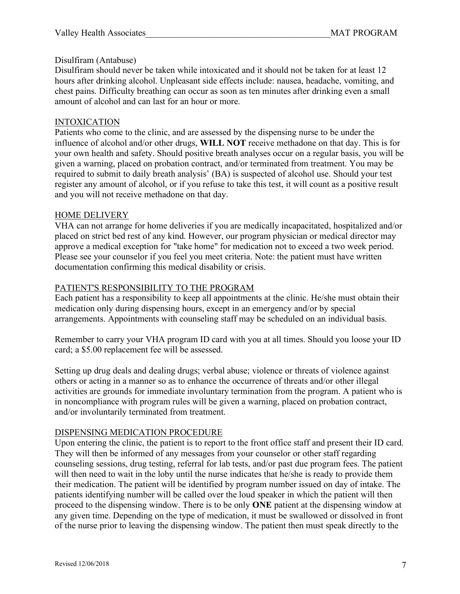## Disulfiram (Antabuse)

Disulfiram should never be taken while intoxicated and it should not be taken for at least 12 hours after drinking alcohol. Unpleasant side effects include: nausea, headache, vomiting, and chest pains. Difficulty breathing can occur as soon as ten minutes after drinking even a small amount of alcohol and can last for an hour or more.

## INTOXICATION

Patients who come to the clinic, and are assessed by the dispensing nurse to be under the influence of alcohol and/or other drugs, **WILL NOT** receive methadone on that day. This is for your own health and safety. Should positive breath analyses occur on a regular basis, you will be given a warning, placed on probation contract, and/or terminated from treatment. You may be required to submit to daily breath analysis' (BA) is suspected of alcohol use. Should your test register any amount of alcohol, or if you refuse to take this test, it will count as a positive result and you will not receive methadone on that day.

#### HOME DELIVERY

VHA can not arrange for home deliveries if you are medically incapacitated, hospitalized and/or placed on strict bed rest of any kind. However, our program physician or medical director may approve a medical exception for "take home" for medication not to exceed a two week period. Please see your counselor if you feel you meet criteria. Note: the patient must have written documentation confirming this medical disability or crisis.

## PATIENT'S RESPONSIBILITY TO THE PROGRAM

Each patient has a responsibility to keep all appointments at the clinic. He/she must obtain their medication only during dispensing hours, except in an emergency and/or by special arrangements. Appointments with counseling staff may be scheduled on an individual basis.

Remember to carry your VHA program ID card with you at all times. Should you loose your ID card; a \$5.00 replacement fee will be assessed.

Setting up drug deals and dealing drugs; verbal abuse; violence or threats of violence against others or acting in a manner so as to enhance the occurrence of threats and/or other illegal activities are grounds for immediate involuntary termination from the program. A patient who is in noncompliance with program rules will be given a warning, placed on probation contract, and/or involuntarily terminated from treatment.

# DISPENSING MEDICATION PROCEDURE

Upon entering the clinic, the patient is to report to the front office staff and present their ID card. They will then be informed of any messages from your counselor or other staff regarding counseling sessions, drug testing, referral for lab tests, and/or past due program fees. The patient will then need to wait in the loby until the nurse indicates that he/she is ready to provide them their medication. The patient will be identified by program number issued on day of intake. The patients identifying number will be called over the loud speaker in which the patient will then proceed to the dispensing window. There is to be only **ONE** patient at the dispensing window at any given time. Depending on the type of medication, it must be swallowed or dissolved in front of the nurse prior to leaving the dispensing window. The patient then must speak directly to the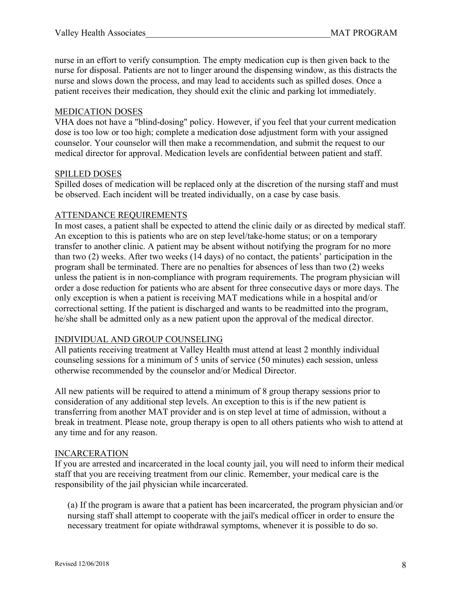nurse in an effort to verify consumption. The empty medication cup is then given back to the nurse for disposal. Patients are not to linger around the dispensing window, as this distracts the nurse and slows down the process, and may lead to accidents such as spilled doses. Once a patient receives their medication, they should exit the clinic and parking lot immediately.

## MEDICATION DOSES

VHA does not have a "blind-dosing" policy. However, if you feel that your current medication dose is too low or too high; complete a medication dose adjustment form with your assigned counselor. Your counselor will then make a recommendation, and submit the request to our medical director for approval. Medication levels are confidential between patient and staff.

#### SPILLED DOSES

Spilled doses of medication will be replaced only at the discretion of the nursing staff and must be observed. Each incident will be treated individually, on a case by case basis.

## ATTENDANCE REQUIREMENTS

In most cases, a patient shall be expected to attend the clinic daily or as directed by medical staff. An exception to this is patients who are on step level/take-home status; or on a temporary transfer to another clinic. A patient may be absent without notifying the program for no more than two (2) weeks. After two weeks (14 days) of no contact, the patients' participation in the program shall be terminated. There are no penalties for absences of less than two (2) weeks unless the patient is in non-compliance with program requirements. The program physician will order a dose reduction for patients who are absent for three consecutive days or more days. The only exception is when a patient is receiving MAT medications while in a hospital and/or correctional setting. If the patient is discharged and wants to be readmitted into the program, he/she shall be admitted only as a new patient upon the approval of the medical director.

#### INDIVIDUAL AND GROUP COUNSELING

All patients receiving treatment at Valley Health must attend at least 2 monthly individual counseling sessions for a minimum of 5 units of service (50 minutes) each session, unless otherwise recommended by the counselor and/or Medical Director.

All new patients will be required to attend a minimum of 8 group therapy sessions prior to consideration of any additional step levels. An exception to this is if the new patient is transferring from another MAT provider and is on step level at time of admission, without a break in treatment. Please note, group therapy is open to all others patients who wish to attend at any time and for any reason.

#### INCARCERATION

If you are arrested and incarcerated in the local county jail, you will need to inform their medical staff that you are receiving treatment from our clinic. Remember, your medical care is the responsibility of the jail physician while incarcerated.

(a) If the program is aware that a patient has been incarcerated, the program physician and/or nursing staff shall attempt to cooperate with the jail's medical officer in order to ensure the necessary treatment for opiate withdrawal symptoms, whenever it is possible to do so.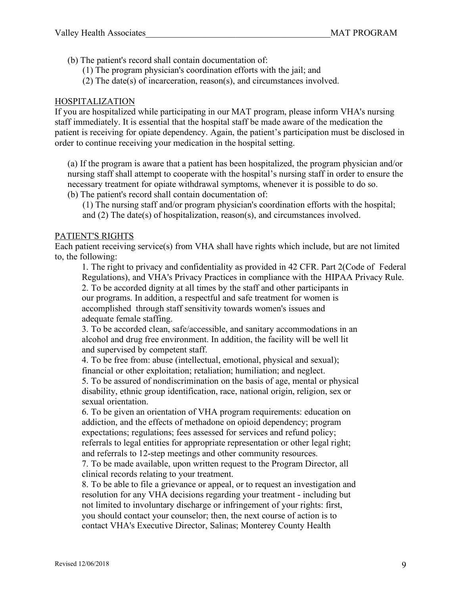- (b) The patient's record shall contain documentation of:
	- (1) The program physician's coordination efforts with the jail; and
	- (2) The date(s) of incarceration, reason(s), and circumstances involved.

# HOSPITALIZATION

If you are hospitalized while participating in our MAT program, please inform VHA's nursing staff immediately. It is essential that the hospital staff be made aware of the medication the patient is receiving for opiate dependency. Again, the patient's participation must be disclosed in order to continue receiving your medication in the hospital setting.

(a) If the program is aware that a patient has been hospitalized, the program physician and/or nursing staff shall attempt to cooperate with the hospital's nursing staff in order to ensure the necessary treatment for opiate withdrawal symptoms, whenever it is possible to do so. (b) The patient's record shall contain documentation of:

(1) The nursing staff and/or program physician's coordination efforts with the hospital; and (2) The date(s) of hospitalization, reason(s), and circumstances involved.

# PATIENT'S RIGHTS

Each patient receiving service(s) from VHA shall have rights which include, but are not limited to, the following:

1. The right to privacy and confidentiality as provided in 42 CFR. Part 2(Code of Federal Regulations), and VHA's Privacy Practices in compliance with the HIPAA Privacy Rule. 2. To be accorded dignity at all times by the staff and other participants in our programs. In addition, a respectful and safe treatment for women is accomplished through staff sensitivity towards women's issues and adequate female staffing.

3. To be accorded clean, safe/accessible, and sanitary accommodations in an alcohol and drug free environment. In addition, the facility will be well lit and supervised by competent staff.

4. To be free from: abuse (intellectual, emotional, physical and sexual); financial or other exploitation; retaliation; humiliation; and neglect.

5. To be assured of nondiscrimination on the basis of age, mental or physical disability, ethnic group identification, race, national origin, religion, sex or sexual orientation.

6. To be given an orientation of VHA program requirements: education on addiction, and the effects of methadone on opioid dependency; program expectations; regulations; fees assessed for services and refund policy; referrals to legal entities for appropriate representation or other legal right; and referrals to 12-step meetings and other community resources.

7. To be made available, upon written request to the Program Director, all clinical records relating to your treatment.

8. To be able to file a grievance or appeal, or to request an investigation and resolution for any VHA decisions regarding your treatment - including but not limited to involuntary discharge or infringement of your rights: first, you should contact your counselor; then, the next course of action is to contact VHA's Executive Director, Salinas; Monterey County Health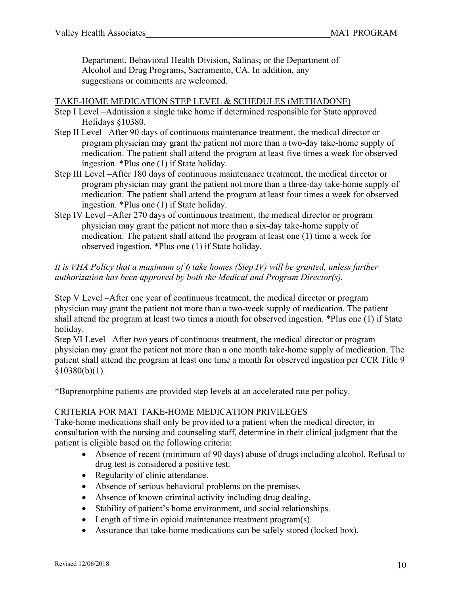Department, Behavioral Health Division, Salinas; or the Department of Alcohol and Drug Programs, Sacramento, CA. In addition, any suggestions or comments are welcomed.

#### TAKE-HOME MEDICATION STEP LEVEL & SCHEDULES (METHADONE)

- Step I Level –Admission a single take home if determined responsible for State approved Holidays §10380.
- Step II Level –After 90 days of continuous maintenance treatment, the medical director or program physician may grant the patient not more than a two-day take-home supply of medication. The patient shall attend the program at least five times a week for observed ingestion. \*Plus one (1) if State holiday.
- Step III Level –After 180 days of continuous maintenance treatment, the medical director or program physician may grant the patient not more than a three-day take-home supply of medication. The patient shall attend the program at least four times a week for observed ingestion. \*Plus one (1) if State holiday.
- Step IV Level –After 270 days of continuous treatment, the medical director or program physician may grant the patient not more than a six-day take-home supply of medication. The patient shall attend the program at least one (1) time a week for observed ingestion. \*Plus one (1) if State holiday.

## *It is VHA Policy that a maximum of 6 take homes (Step IV) will be granted, unless further authorization has been approved by both the Medical and Program Director(s).*

Step V Level –After one year of continuous treatment, the medical director or program physician may grant the patient not more than a two-week supply of medication. The patient shall attend the program at least two times a month for observed ingestion. \*Plus one (1) if State holiday.

Step VI Level –After two years of continuous treatment, the medical director or program physician may grant the patient not more than a one month take-home supply of medication. The patient shall attend the program at least one time a month for observed ingestion per CCR Title 9  $$10380(b)(1)$ .

\*Buprenorphine patients are provided step levels at an accelerated rate per policy.

# CRITERIA FOR MAT TAKE-HOME MEDICATION PRIVILEGES

Take-home medications shall only be provided to a patient when the medical director, in consultation with the nursing and counseling staff, determine in their clinical judgment that the patient is eligible based on the following criteria:

- Absence of recent (minimum of 90 days) abuse of drugs including alcohol. Refusal to drug test is considered a positive test.
- Regularity of clinic attendance.
- Absence of serious behavioral problems on the premises.
- Absence of known criminal activity including drug dealing.
- Stability of patient's home environment, and social relationships.
- Length of time in opioid maintenance treatment program(s).
- Assurance that take-home medications can be safely stored (locked box).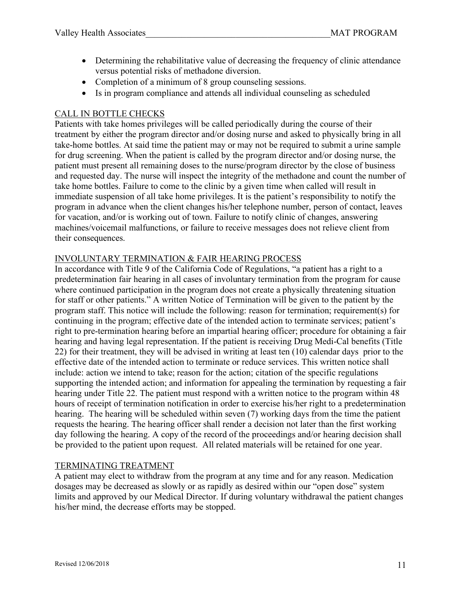- Determining the rehabilitative value of decreasing the frequency of clinic attendance versus potential risks of methadone diversion.
- Completion of a minimum of 8 group counseling sessions.
- Is in program compliance and attends all individual counseling as scheduled

# CALL IN BOTTLE CHECKS

Patients with take homes privileges will be called periodically during the course of their treatment by either the program director and/or dosing nurse and asked to physically bring in all take-home bottles. At said time the patient may or may not be required to submit a urine sample for drug screening. When the patient is called by the program director and/or dosing nurse, the patient must present all remaining doses to the nurse/program director by the close of business and requested day. The nurse will inspect the integrity of the methadone and count the number of take home bottles. Failure to come to the clinic by a given time when called will result in immediate suspension of all take home privileges. It is the patient's responsibility to notify the program in advance when the client changes his/her telephone number, person of contact, leaves for vacation, and/or is working out of town. Failure to notify clinic of changes, answering machines/voicemail malfunctions, or failure to receive messages does not relieve client from their consequences.

# INVOLUNTARY TERMINATION & FAIR HEARING PROCESS

In accordance with Title 9 of the California Code of Regulations, "a patient has a right to a predetermination fair hearing in all cases of involuntary termination from the program for cause where continued participation in the program does not create a physically threatening situation for staff or other patients." A written Notice of Termination will be given to the patient by the program staff. This notice will include the following: reason for termination; requirement(s) for continuing in the program; effective date of the intended action to terminate services; patient's right to pre-termination hearing before an impartial hearing officer; procedure for obtaining a fair hearing and having legal representation. If the patient is receiving Drug Medi-Cal benefits (Title 22) for their treatment, they will be advised in writing at least ten (10) calendar days prior to the effective date of the intended action to terminate or reduce services. This written notice shall include: action we intend to take; reason for the action; citation of the specific regulations supporting the intended action; and information for appealing the termination by requesting a fair hearing under Title 22. The patient must respond with a written notice to the program within 48 hours of receipt of termination notification in order to exercise his/her right to a predetermination hearing. The hearing will be scheduled within seven (7) working days from the time the patient requests the hearing. The hearing officer shall render a decision not later than the first working day following the hearing. A copy of the record of the proceedings and/or hearing decision shall be provided to the patient upon request. All related materials will be retained for one year.

# TERMINATING TREATMENT

A patient may elect to withdraw from the program at any time and for any reason. Medication dosages may be decreased as slowly or as rapidly as desired within our "open dose" system limits and approved by our Medical Director. If during voluntary withdrawal the patient changes his/her mind, the decrease efforts may be stopped.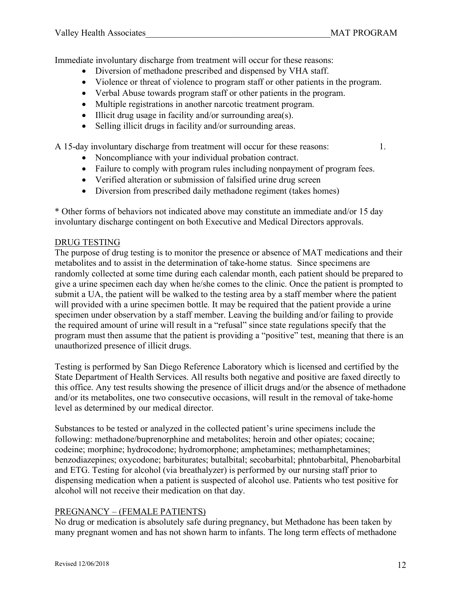Immediate involuntary discharge from treatment will occur for these reasons:

- Diversion of methadone prescribed and dispensed by VHA staff.
- Violence or threat of violence to program staff or other patients in the program.
- Verbal Abuse towards program staff or other patients in the program.
- Multiple registrations in another narcotic treatment program.
- Illicit drug usage in facility and/or surrounding area(s).
- Selling illicit drugs in facility and/or surrounding areas.

A 15-day involuntary discharge from treatment will occur for these reasons: 1.

- Noncompliance with your individual probation contract.
- Failure to comply with program rules including nonpayment of program fees.
- Verified alteration or submission of falsified urine drug screen
- Diversion from prescribed daily methadone regiment (takes homes)

\* Other forms of behaviors not indicated above may constitute an immediate and/or 15 day involuntary discharge contingent on both Executive and Medical Directors approvals.

# DRUG TESTING

The purpose of drug testing is to monitor the presence or absence of MAT medications and their metabolites and to assist in the determination of take-home status. Since specimens are randomly collected at some time during each calendar month, each patient should be prepared to give a urine specimen each day when he/she comes to the clinic. Once the patient is prompted to submit a UA, the patient will be walked to the testing area by a staff member where the patient will provided with a urine specimen bottle. It may be required that the patient provide a urine specimen under observation by a staff member. Leaving the building and/or failing to provide the required amount of urine will result in a "refusal" since state regulations specify that the program must then assume that the patient is providing a "positive" test, meaning that there is an unauthorized presence of illicit drugs.

Testing is performed by San Diego Reference Laboratory which is licensed and certified by the State Department of Health Services. All results both negative and positive are faxed directly to this office. Any test results showing the presence of illicit drugs and/or the absence of methadone and/or its metabolites, one two consecutive occasions, will result in the removal of take-home level as determined by our medical director.

Substances to be tested or analyzed in the collected patient's urine specimens include the following: methadone/buprenorphine and metabolites; heroin and other opiates; cocaine; codeine; morphine; hydrocodone; hydromorphone; amphetamines; methamphetamines; benzodiazepines; oxycodone; barbiturates; butalbital; secobarbital; phntobarbital, Phenobarbital and ETG. Testing for alcohol (via breathalyzer) is performed by our nursing staff prior to dispensing medication when a patient is suspected of alcohol use. Patients who test positive for alcohol will not receive their medication on that day.

# PREGNANCY – (FEMALE PATIENTS)

No drug or medication is absolutely safe during pregnancy, but Methadone has been taken by many pregnant women and has not shown harm to infants. The long term effects of methadone